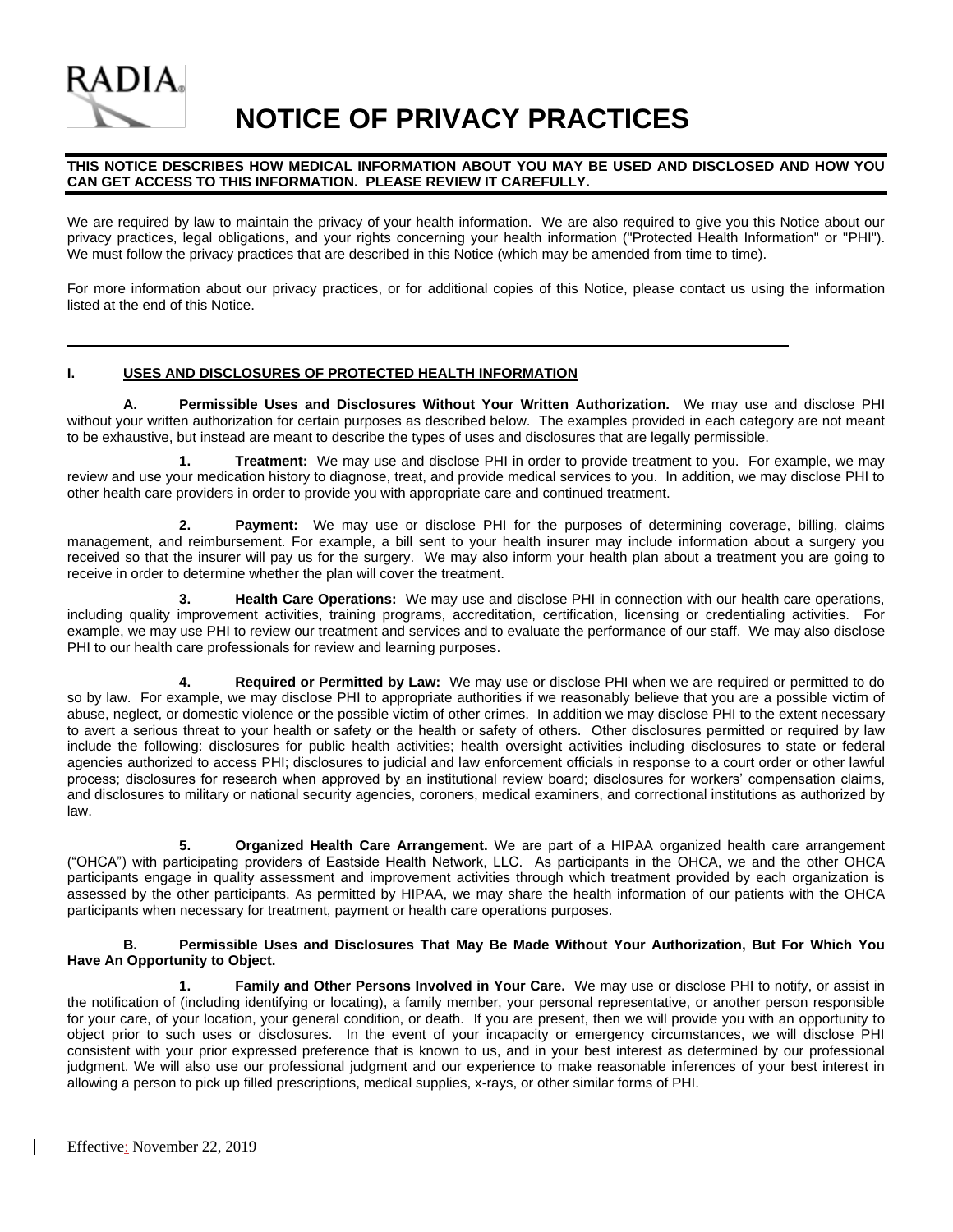

# **NOTICE OF PRIVACY PRACTICES**

#### **THIS NOTICE DESCRIBES HOW MEDICAL INFORMATION ABOUT YOU MAY BE USED AND DISCLOSED AND HOW YOU CAN GET ACCESS TO THIS INFORMATION. PLEASE REVIEW IT CAREFULLY.**

We are required by law to maintain the privacy of your health information. We are also required to give you this Notice about our privacy practices, legal obligations, and your rights concerning your health information ("Protected Health Information" or "PHI"). We must follow the privacy practices that are described in this Notice (which may be amended from time to time).

For more information about our privacy practices, or for additional copies of this Notice, please contact us using the information listed at the end of this Notice.

#### **I. USES AND DISCLOSURES OF PROTECTED HEALTH INFORMATION**

**A. Permissible Uses and Disclosures Without Your Written Authorization.** We may use and disclose PHI without your written authorization for certain purposes as described below. The examples provided in each category are not meant to be exhaustive, but instead are meant to describe the types of uses and disclosures that are legally permissible.

**1. Treatment:** We may use and disclose PHI in order to provide treatment to you. For example, we may review and use your medication history to diagnose, treat, and provide medical services to you. In addition, we may disclose PHI to other health care providers in order to provide you with appropriate care and continued treatment.

**2. Payment:** We may use or disclose PHI for the purposes of determining coverage, billing, claims management, and reimbursement. For example, a bill sent to your health insurer may include information about a surgery you received so that the insurer will pay us for the surgery. We may also inform your health plan about a treatment you are going to receive in order to determine whether the plan will cover the treatment.

**3. Health Care Operations:** We may use and disclose PHI in connection with our health care operations, including quality improvement activities, training programs, accreditation, certification, licensing or credentialing activities. For example, we may use PHI to review our treatment and services and to evaluate the performance of our staff. We may also disclose PHI to our health care professionals for review and learning purposes.

**4. Required or Permitted by Law:** We may use or disclose PHI when we are required or permitted to do so by law. For example, we may disclose PHI to appropriate authorities if we reasonably believe that you are a possible victim of abuse, neglect, or domestic violence or the possible victim of other crimes. In addition we may disclose PHI to the extent necessary to avert a serious threat to your health or safety or the health or safety of others. Other disclosures permitted or required by law include the following: disclosures for public health activities; health oversight activities including disclosures to state or federal agencies authorized to access PHI; disclosures to judicial and law enforcement officials in response to a court order or other lawful process; disclosures for research when approved by an institutional review board; disclosures for workers' compensation claims, and disclosures to military or national security agencies, coroners, medical examiners, and correctional institutions as authorized by law.

**5. Organized Health Care Arrangement.** We are part of a HIPAA organized health care arrangement ("OHCA") with participating providers of Eastside Health Network, LLC. As participants in the OHCA, we and the other OHCA participants engage in quality assessment and improvement activities through which treatment provided by each organization is assessed by the other participants. As permitted by HIPAA, we may share the health information of our patients with the OHCA participants when necessary for treatment, payment or health care operations purposes.

#### **B. Permissible Uses and Disclosures That May Be Made Without Your Authorization, But For Which You Have An Opportunity to Object.**

**1. Family and Other Persons Involved in Your Care.** We may use or disclose PHI to notify, or assist in the notification of (including identifying or locating), a family member, your personal representative, or another person responsible for your care, of your location, your general condition, or death. If you are present, then we will provide you with an opportunity to object prior to such uses or disclosures. In the event of your incapacity or emergency circumstances, we will disclose PHI consistent with your prior expressed preference that is known to us, and in your best interest as determined by our professional judgment. We will also use our professional judgment and our experience to make reasonable inferences of your best interest in allowing a person to pick up filled prescriptions, medical supplies, x-rays, or other similar forms of PHI.